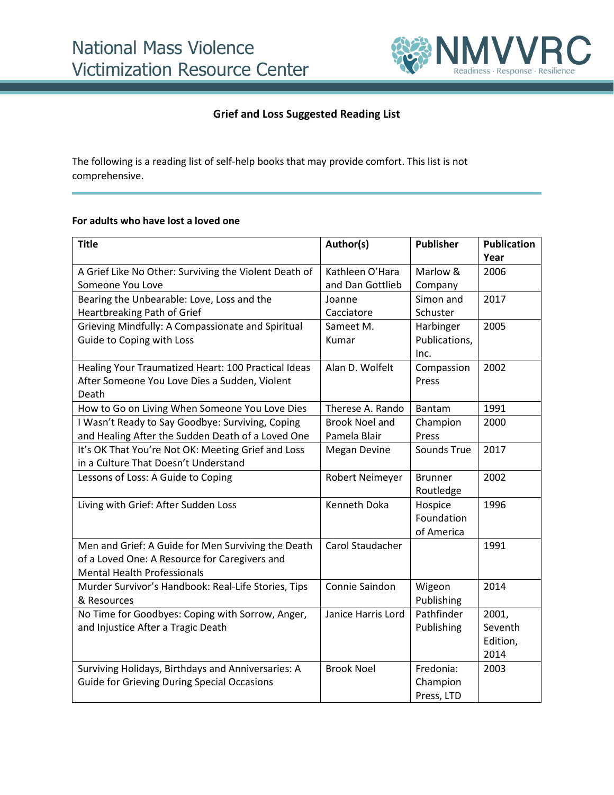

## **Grief and Loss Suggested Reading List**

The following is a reading list of self-help books that may provide comfort. This list is not comprehensive.

## **For adults who have lost a loved one**

| <b>Title</b>                                          | Author(s)             | <b>Publisher</b> | <b>Publication</b> |
|-------------------------------------------------------|-----------------------|------------------|--------------------|
|                                                       |                       |                  | Year               |
| A Grief Like No Other: Surviving the Violent Death of | Kathleen O'Hara       | Marlow &         | 2006               |
| Someone You Love                                      | and Dan Gottlieb      | Company          |                    |
| Bearing the Unbearable: Love, Loss and the            | Joanne                | Simon and        | 2017               |
| Heartbreaking Path of Grief                           | Cacciatore            | Schuster         |                    |
| Grieving Mindfully: A Compassionate and Spiritual     | Sameet M.             | Harbinger        | 2005               |
| Guide to Coping with Loss                             | Kumar                 | Publications,    |                    |
|                                                       |                       | Inc.             |                    |
| Healing Your Traumatized Heart: 100 Practical Ideas   | Alan D. Wolfelt       | Compassion       | 2002               |
| After Someone You Love Dies a Sudden, Violent         |                       | Press            |                    |
| Death                                                 |                       |                  |                    |
| How to Go on Living When Someone You Love Dies        | Therese A. Rando      | Bantam           | 1991               |
| I Wasn't Ready to Say Goodbye: Surviving, Coping      | <b>Brook Noel and</b> | Champion         | 2000               |
| and Healing After the Sudden Death of a Loved One     | Pamela Blair          | Press            |                    |
| It's OK That You're Not OK: Meeting Grief and Loss    | <b>Megan Devine</b>   | Sounds True      | 2017               |
| in a Culture That Doesn't Understand                  |                       |                  |                    |
| Lessons of Loss: A Guide to Coping                    | Robert Neimeyer       | <b>Brunner</b>   | 2002               |
|                                                       |                       | Routledge        |                    |
| Living with Grief: After Sudden Loss                  | Kenneth Doka          | Hospice          | 1996               |
|                                                       |                       | Foundation       |                    |
|                                                       |                       | of America       |                    |
| Men and Grief: A Guide for Men Surviving the Death    | Carol Staudacher      |                  | 1991               |
| of a Loved One: A Resource for Caregivers and         |                       |                  |                    |
| <b>Mental Health Professionals</b>                    |                       |                  |                    |
| Murder Survivor's Handbook: Real-Life Stories, Tips   | Connie Saindon        | Wigeon           | 2014               |
| & Resources                                           |                       | Publishing       |                    |
| No Time for Goodbyes: Coping with Sorrow, Anger,      | Janice Harris Lord    | Pathfinder       | 2001,              |
| and Injustice After a Tragic Death                    |                       | Publishing       | Seventh            |
|                                                       |                       |                  | Edition,           |
|                                                       |                       |                  | 2014               |
| Surviving Holidays, Birthdays and Anniversaries: A    | <b>Brook Noel</b>     | Fredonia:        | 2003               |
| <b>Guide for Grieving During Special Occasions</b>    |                       | Champion         |                    |
|                                                       |                       | Press, LTD       |                    |